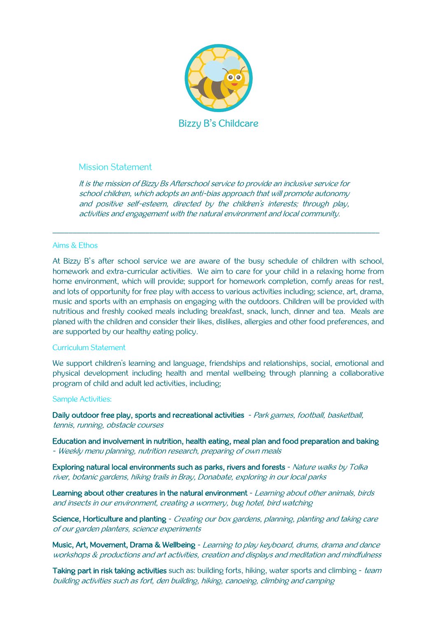

# Mission Statement

It is the mission of Bizzy Bs Afterschool service to provide an inclusive service for school children, which adopts an anti-bias approach that will promote autonomy and positive self-esteem, directed by the children's interests; through play, activities and engagement with the natural environment and local community.

### Aims & Ethos

At Bizzy B's after school service we are aware of the busy schedule of children with school, homework and extra-curricular activities. We aim to care for your child in a relaxing home from home environment, which will provide; support for homework completion, comfy areas for rest, and lots of opportunity for free play with access to various activities including; science, art, drama, music and sports with an emphasis on engaging with the outdoors. Children will be provided with nutritious and freshly cooked meals including breakfast, snack, lunch, dinner and tea. Meals are planed with the children and consider their likes, dislikes, allergies and other food preferences, and are supported by our healthy eating policy.

### Curriculum Statement

We support children's learning and language, friendships and relationships, social, emotional and physical development including health and mental wellbeing through planning a collaborative program of child and adult led activities, including;

#### Sample Activities:

Daily outdoor free play, sports and recreational activities - Park games, football, basketball, tennis, running, obstacle courses

Education and involvement in nutrition, health eating, meal plan and food preparation and baking - Weekly menu planning, nutrition research, preparing of own meals

Exploring natural local environments such as parks, rivers and forests - Nature walks by Tolka river, botanic gardens, hiking trails in Bray, Donabate, exploring in our local parks

Learning about other creatures in the natural environment - Learning about other animals, birds and insects in our environment, creating a wormery, bug hotel, bird watching

Science, Horticulture and planting - Creating our box gardens, planning, planting and taking care of our garden planters, science experiments

Music, Art, Movement, Drama & Wellbeing - Learning to play keyboard, drums, drama and dance workshops & productions and art activities, creation and displays and meditation and mindfulness

Taking part in risk taking activities such as: building forts, hiking, water sports and climbing - team building activities such as fort, den building, hiking, canoeing, climbing and camping